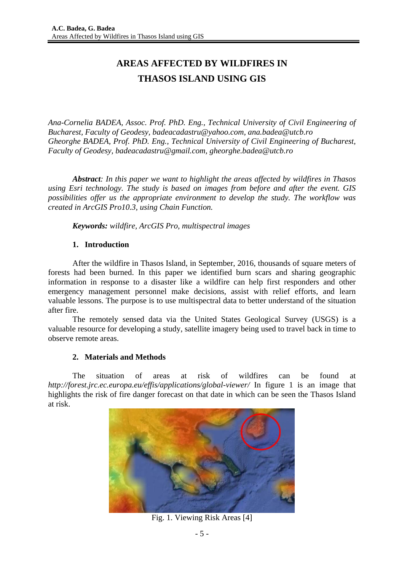# **AREAS AFFECTED BY WILDFIRES IN THASOS ISLAND USING GIS**

*Ana-Cornelia BADEA, Assoc. Prof. PhD. Eng., Technical University of Civil Engineering of Bucharest, Faculty of Geodesy, badeacadastru@yahoo.com, ana.badea@utcb.ro Gheorghe BADEA, Prof. PhD. Eng., Technical University of Civil Engineering of Bucharest, Faculty of Geodesy, badeacadastru@gmail.com, gheorghe.badea@utcb.ro* 

*Abstract: In this paper we want to highlight the areas affected by wildfires in Thasos using Esri technology. The study is based on images from before and after the event. GIS possibilities offer us the appropriate environment to develop the study. The workflow was created in ArcGIS Pro10.3, using Chain Function.* 

*Keywords: wildfire, ArcGIS Pro, multispectral images* 

### **1. Introduction**

After the wildfire in Thasos Island, in September, 2016, thousands of square meters of forests had been burned. In this paper we identified burn scars and sharing geographic information in response to a disaster like a wildfire can help first responders and other emergency management personnel make decisions, assist with relief efforts, and learn valuable lessons. The purpose is to use multispectral data to better understand of the situation after fire.

The remotely sensed data via the United States Geological Survey (USGS) is a valuable resource for developing a study, satellite imagery being used to travel back in time to observe remote areas.

# **2. Materials and Methods**

The situation of areas at risk of wildfires can be found at *http://forest.jrc.ec.europa.eu/effis/applications/global-viewer/* In figure 1 is an image that highlights the risk of fire danger forecast on that date in which can be seen the Thasos Island at risk.



Fig. 1. Viewing Risk Areas [4]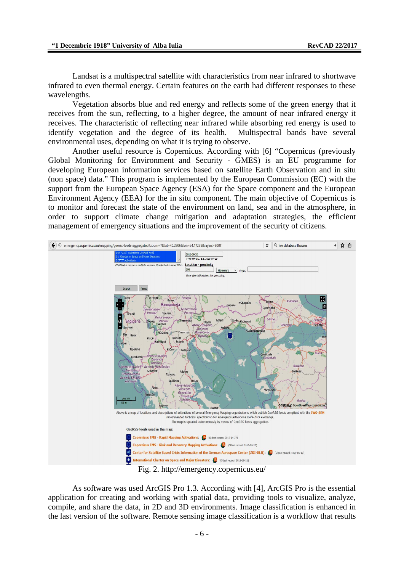Landsat is a multispectral satellite with characteristics from near infrared to shortwave infrared to even thermal energy. Certain features on the earth had different responses to these wavelengths.

Vegetation absorbs blue and red energy and reflects some of the green energy that it receives from the sun, reflecting, to a higher degree, the amount of near infrared energy it receives. The characteristic of reflecting near infrared while absorbing red energy is used to identify vegetation and the degree of its health. Multispectral bands have several environmental uses, depending on what it is trying to observe.

Another useful resource is Copernicus. According with [6] "Copernicus (previously Global Monitoring for Environment and Security - GMES) is an EU programme for developing European information services based on satellite Earth Observation and in situ (non space) data." This program is implemented by the European Commission (EC) with the support from the European Space Agency (ESA) for the Space component and the European Environment Agency (EEA) for the in situ component. The main objective of Copernicus is to monitor and forecast the state of the environment on land, sea and in the atmosphere, in order to support climate change mitigation and adaptation strategies, the efficient management of emergency situations and the improvement of the security of citizens.



Fig. 2. http://emergency.copernicus.eu/

As software was used ArcGIS Pro 1.3. According with [4], ArcGIS Pro is the essential application for creating and working with spatial data, providing tools to visualize, analyze, compile, and share the data, in 2D and 3D environments. Image classification is enhanced in the last version of the software. Remote sensing image classification is a workflow that results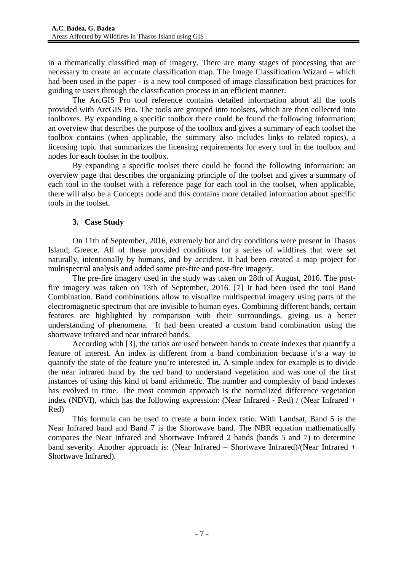in a thematically classified map of imagery. There are many stages of processing that are necessary to create an accurate classification map. The Image Classification Wizard – which had been used in the paper - is a new tool composed of image classification best practices for guiding te users through the classification process in an efficient manner.

The ArcGIS Pro tool reference contains detailed information about all the tools provided with ArcGIS Pro. The tools are grouped into toolsets, which are then collected into toolboxes. By expanding a specific toolbox there could be found the following information: an overview that describes the purpose of the toolbox and gives a summary of each toolset the toolbox contains (when applicable, the summary also includes links to related topics), a licensing topic that summarizes the licensing requirements for every tool in the toolbox and nodes for each toolset in the toolbox.

By expanding a specific toolset there could be found the following information: an overview page that describes the organizing principle of the toolset and gives a summary of each tool in the toolset with a reference page for each tool in the toolset, when applicable, there will also be a Concepts node and this contains more detailed information about specific tools in the toolset.

# **3. Case Study**

On 11th of September, 2016, extremely hot and dry conditions were present in Thasos Island, Greece. All of these provided conditions for a series of wildfires that were set naturally, intentionally by humans, and by accident. It had been created a map project for multispectral analysis and added some pre-fire and post-fire imagery.

The pre-fire imagery used in the study was taken on 28th of August, 2016. The postfire imagery was taken on 13th of September, 2016. [7] It had been used the tool Band Combination. Band combinations allow to visualize multispectral imagery using parts of the electromagnetic spectrum that are invisible to human eyes. Combining different bands, certain features are highlighted by comparison with their surroundings, giving us a better understanding of phenomena. It had been created a custom band combination using the shortwave infrared and near infrared bands.

According with [3], the ratios are used between bands to create indexes that quantify a feature of interest. An index is different from a band combination because it's a way to quantify the state of the feature you're interested in. A simple index for example is to divide the near infrared band by the red band to understand vegetation and was one of the first instances of using this kind of band arithmetic. The number and complexity of band indexes has evolved in time. The most common approach is the normalized difference vegetation index (NDVI), which has the following expression: (Near Infrared - Red) / (Near Infrared + Red)

This formula can be used to create a burn index ratio. With Landsat, Band 5 is the Near Infrared band and Band 7 is the Shortwave band. The NBR equation mathematically compares the Near Infrared and Shortwave Infrared 2 bands (bands 5 and 7) to determine band severity. Another approach is: (Near Infrared – Shortwave Infrared)/(Near Infrared + Shortwave Infrared).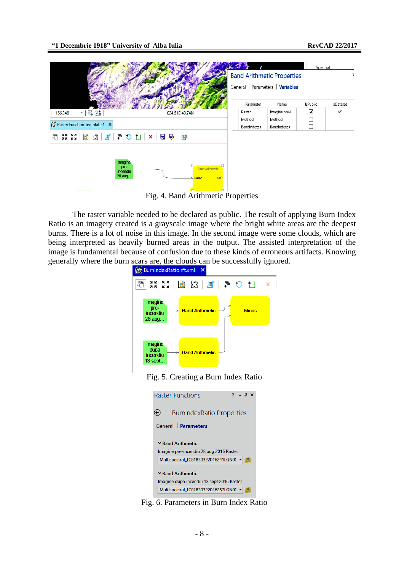

Fig. 4. Band Arithmetic Properties

The raster variable needed to be declared as public. The result of applying Burn Index Ratio is an imagery created is a grayscale image where the bright white areas are the deepest burns. There is a lot of noise in this image. In the second image were some clouds, which are being interpreted as heavily burned areas in the output. The assisted interpretation of the image is fundamental because of confusion due to these kinds of erroneous artifacts. Knowing generally where the burn scars are, the clouds can be successfully ignored.







Fig. 6. Parameters in Burn Index Ratio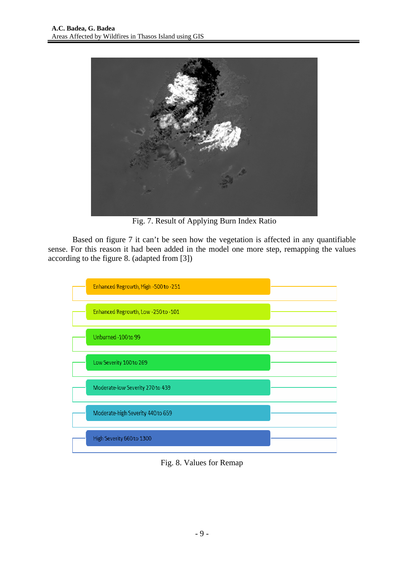

Fig. 7. Result of Applying Burn Index Ratio

Based on figure 7 it can't be seen how the vegetation is affected in any quantifiable sense. For this reason it had been added in the model one more step, remapping the values according to the figure 8. (adapted from [3])



Fig. 8. Values for Remap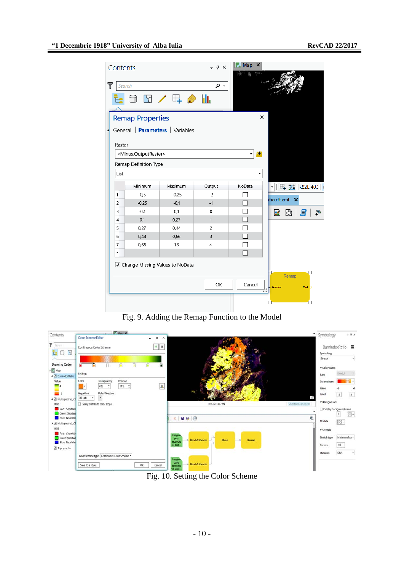| Contents<br>Y                                                                          | Search  | $\Box$                            | $\downarrow \sqrt{4}$ X<br>م | Map<br>$\times$    |                                          |
|----------------------------------------------------------------------------------------|---------|-----------------------------------|------------------------------|--------------------|------------------------------------------|
| x<br><b>Remap Properties</b><br>General   Parameters   Variables                       |         |                                   |                              |                    |                                          |
| Raster<br><minus.outputraster><br/>Remap Definition Type<br/>List</minus.outputraster> |         |                                   |                              |                    |                                          |
|                                                                                        | Minimum | Maximum                           | Output                       | NoData             | <b>田 24 182E 40.3</b><br>۰               |
| 1                                                                                      | $-0,5$  | $-0,25$                           | $-2$                         |                    |                                          |
| $\overline{2}$                                                                         | $-0,25$ | $-0,1$                            | $-1$                         | <b>COLLEGE</b>     | tio.rft.xml<br>×                         |
| 3                                                                                      | $-0,1$  | 0,1                               | $\mathbf 0$                  |                    | 멻<br>중<br>且                              |
| 4                                                                                      | 0,1     | 0,27                              | 1                            |                    |                                          |
| 5                                                                                      | 0,27    | 0,44                              | $\overline{c}$               |                    |                                          |
| 6                                                                                      | 0,44    | 0,66                              | 3                            |                    |                                          |
| 7                                                                                      | 0,66    | 1,3                               | 4                            |                    |                                          |
| ŵ                                                                                      |         |                                   |                              |                    |                                          |
|                                                                                        |         | √ Change Missing Values to NoData | OK                           | Cancel<br>$\cdots$ | □<br>Remap<br>Raster<br>Out <sub>2</sub> |
|                                                                                        |         |                                   |                              |                    | П<br>П                                   |

Fig. 9. Adding the Remap Function to the Model



Fig. 10. Setting the Color Scheme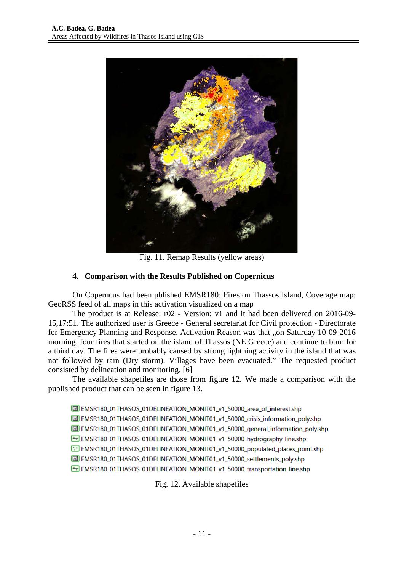

Fig. 11. Remap Results (yellow areas)

# **4. Comparison with the Results Published on Copernicus**

On Coperncus had been pblished EMSR180: Fires on Thassos Island, Coverage map: GeoRSS feed of all maps in this activation visualized on a map

The product is at Release: r02 - Version: v1 and it had been delivered on 2016-09- 15,17:51. The authorized user is Greece - General secretariat for Civil protection - Directorate for Emergency Planning and Response. Activation Reason was that ..on Saturday 10-09-2016 morning, four fires that started on the island of Thassos (NE Greece) and continue to burn for a third day. The fires were probably caused by strong lightning activity in the island that was not followed by rain (Dry storm). Villages have been evacuated." The requested product consisted by delineation and monitoring. [6]

The available shapefiles are those from figure 12. We made a comparison with the published product that can be seen in figure 13.

EMSR180\_01THASOS\_01DELINEATION\_MONIT01\_v1\_50000\_area\_of\_interest.shp

EMSR180\_01THASOS\_01DELINEATION\_MONIT01\_v1\_50000\_crisis\_information\_poly.shp

EM EMSR180\_01THASOS\_01DELINEATION\_MONIT01\_v1\_50000\_general\_information\_poly.shp

EMSR180\_01THASOS\_01DELINEATION\_MONIT01\_v1\_50000\_hydrography\_line.shp

EMSR180\_01THASOS\_01DELINEATION\_MONIT01\_v1\_50000\_populated\_places\_point.shp

EMSR180\_01THASOS\_01DELINEATION\_MONIT01\_v1\_50000\_settlements\_poly.shp

EMSR180\_01THASOS\_01DELINEATION\_MONIT01\_v1\_50000\_transportation\_line.shp

Fig. 12. Available shapefiles